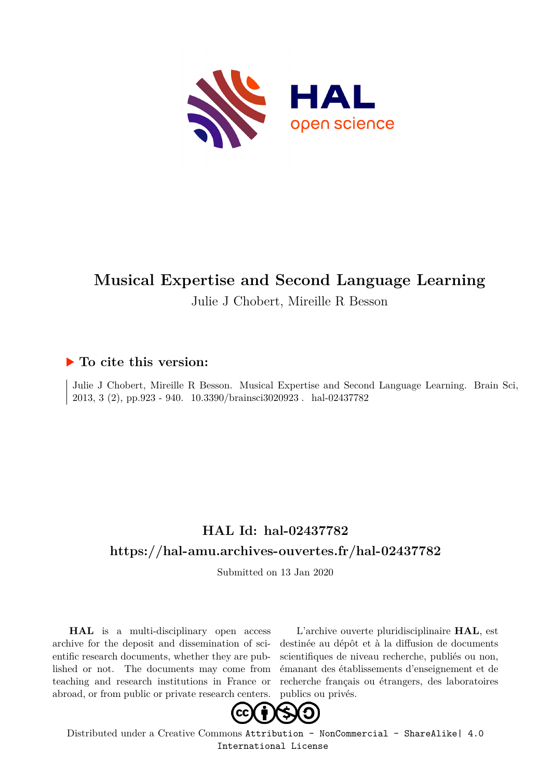

# **Musical Expertise and Second Language Learning**

Julie J Chobert, Mireille R Besson

## **To cite this version:**

Julie J Chobert, Mireille R Besson. Musical Expertise and Second Language Learning. Brain Sci, 2013, 3 (2), pp.923 - 940. 10.3390/brainsci3020923. hal-02437782

## **HAL Id: hal-02437782 <https://hal-amu.archives-ouvertes.fr/hal-02437782>**

Submitted on 13 Jan 2020

**HAL** is a multi-disciplinary open access archive for the deposit and dissemination of scientific research documents, whether they are published or not. The documents may come from teaching and research institutions in France or abroad, or from public or private research centers.

L'archive ouverte pluridisciplinaire **HAL**, est destinée au dépôt et à la diffusion de documents scientifiques de niveau recherche, publiés ou non, émanant des établissements d'enseignement et de recherche français ou étrangers, des laboratoires publics ou privés.



Distributed under a Creative Commons [Attribution - NonCommercial - ShareAlike| 4.0](http://creativecommons.org/licenses/by-nc-sa/4.0/) [International License](http://creativecommons.org/licenses/by-nc-sa/4.0/)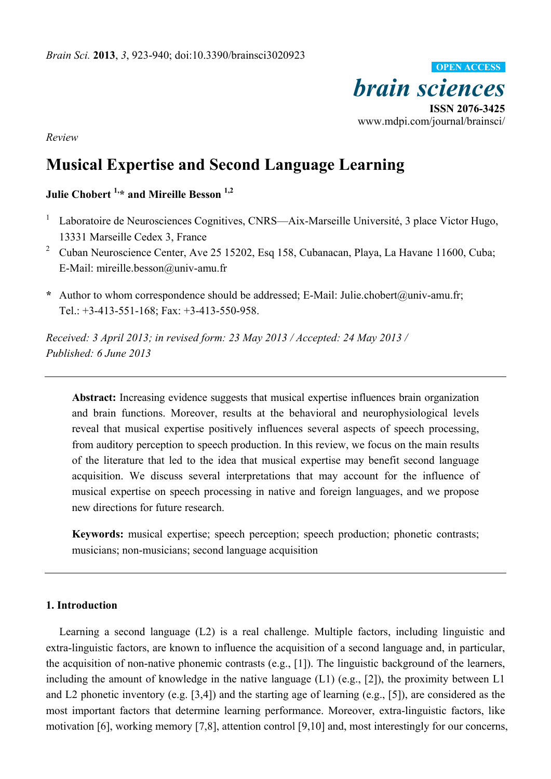*brain sciences*  **ISSN 2076-3425**  www.mdpi.com/journal/brainsci/ **OPEN ACCESS** 

*Review* 

## **Musical Expertise and Second Language Learning**

**Julie Chobert 1,\* and Mireille Besson 1,2**

- 1 Laboratoire de Neurosciences Cognitives, CNRS—Aix-Marseille Université, 3 place Victor Hugo, 13331 Marseille Cedex 3, France
- <sup>2</sup> Cuban Neuroscience Center, Ave 25 15202, Esq 158, Cubanacan, Playa, La Havane 11600, Cuba; E-Mail: mireille.besson@univ-amu.fr
- **\*** Author to whom correspondence should be addressed; E-Mail: Julie.chobert@univ-amu.fr; Tel.: +3-413-551-168; Fax: +3-413-550-958.

*Received: 3 April 2013; in revised form: 23 May 2013 / Accepted: 24 May 2013 / Published: 6 June 2013* 

**Abstract:** Increasing evidence suggests that musical expertise influences brain organization and brain functions. Moreover, results at the behavioral and neurophysiological levels reveal that musical expertise positively influences several aspects of speech processing, from auditory perception to speech production. In this review, we focus on the main results of the literature that led to the idea that musical expertise may benefit second language acquisition. We discuss several interpretations that may account for the influence of musical expertise on speech processing in native and foreign languages, and we propose new directions for future research.

**Keywords:** musical expertise; speech perception; speech production; phonetic contrasts; musicians; non-musicians; second language acquisition

#### **1. Introduction**

Learning a second language (L2) is a real challenge. Multiple factors, including linguistic and extra-linguistic factors, are known to influence the acquisition of a second language and, in particular, the acquisition of non-native phonemic contrasts (e.g., [1]). The linguistic background of the learners, including the amount of knowledge in the native language (L1) (e.g., [2]), the proximity between L1 and L2 phonetic inventory (e.g. [3,4]) and the starting age of learning (e.g., [5]), are considered as the most important factors that determine learning performance. Moreover, extra-linguistic factors, like motivation [6], working memory [7,8], attention control [9,10] and, most interestingly for our concerns,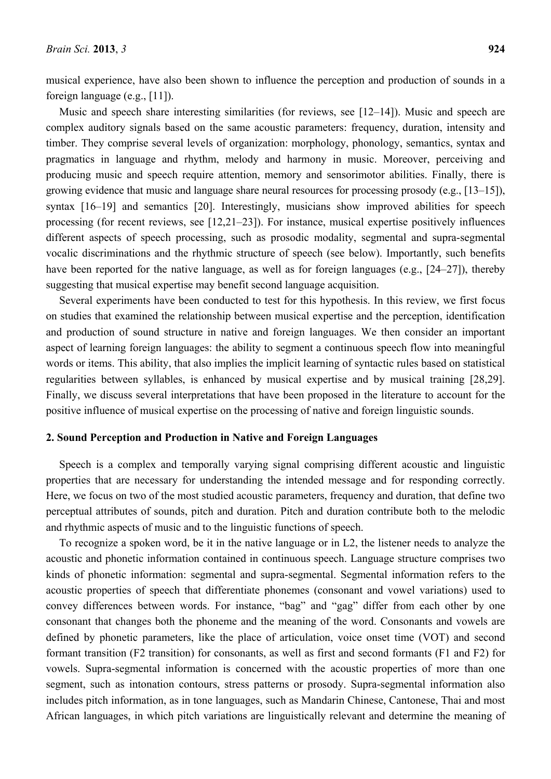musical experience, have also been shown to influence the perception and production of sounds in a foreign language (e.g., [11]).

Music and speech share interesting similarities (for reviews, see [12–14]). Music and speech are complex auditory signals based on the same acoustic parameters: frequency, duration, intensity and timber. They comprise several levels of organization: morphology, phonology, semantics, syntax and pragmatics in language and rhythm, melody and harmony in music. Moreover, perceiving and producing music and speech require attention, memory and sensorimotor abilities. Finally, there is growing evidence that music and language share neural resources for processing prosody (e.g., [13–15]), syntax [16–19] and semantics [20]. Interestingly, musicians show improved abilities for speech processing (for recent reviews, see [12,21–23]). For instance, musical expertise positively influences different aspects of speech processing, such as prosodic modality, segmental and supra-segmental vocalic discriminations and the rhythmic structure of speech (see below). Importantly, such benefits have been reported for the native language, as well as for foreign languages (e.g., [24–27]), thereby suggesting that musical expertise may benefit second language acquisition.

Several experiments have been conducted to test for this hypothesis. In this review, we first focus on studies that examined the relationship between musical expertise and the perception, identification and production of sound structure in native and foreign languages. We then consider an important aspect of learning foreign languages: the ability to segment a continuous speech flow into meaningful words or items. This ability, that also implies the implicit learning of syntactic rules based on statistical regularities between syllables, is enhanced by musical expertise and by musical training [28,29]. Finally, we discuss several interpretations that have been proposed in the literature to account for the positive influence of musical expertise on the processing of native and foreign linguistic sounds.

#### **2. Sound Perception and Production in Native and Foreign Languages**

Speech is a complex and temporally varying signal comprising different acoustic and linguistic properties that are necessary for understanding the intended message and for responding correctly. Here, we focus on two of the most studied acoustic parameters, frequency and duration, that define two perceptual attributes of sounds, pitch and duration. Pitch and duration contribute both to the melodic and rhythmic aspects of music and to the linguistic functions of speech.

To recognize a spoken word, be it in the native language or in L2, the listener needs to analyze the acoustic and phonetic information contained in continuous speech. Language structure comprises two kinds of phonetic information: segmental and supra-segmental. Segmental information refers to the acoustic properties of speech that differentiate phonemes (consonant and vowel variations) used to convey differences between words. For instance, "bag" and "gag" differ from each other by one consonant that changes both the phoneme and the meaning of the word. Consonants and vowels are defined by phonetic parameters, like the place of articulation, voice onset time (VOT) and second formant transition (F2 transition) for consonants, as well as first and second formants (F1 and F2) for vowels. Supra-segmental information is concerned with the acoustic properties of more than one segment, such as intonation contours, stress patterns or prosody. Supra-segmental information also includes pitch information, as in tone languages, such as Mandarin Chinese, Cantonese, Thai and most African languages, in which pitch variations are linguistically relevant and determine the meaning of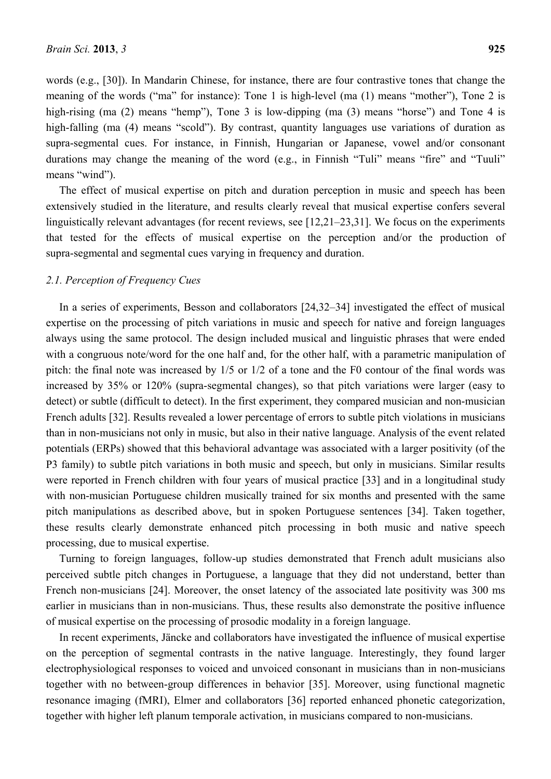words (e.g., [30]). In Mandarin Chinese, for instance, there are four contrastive tones that change the meaning of the words ("ma" for instance): Tone 1 is high-level (ma (1) means "mother"), Tone 2 is high-rising (ma (2) means "hemp"), Tone 3 is low-dipping (ma (3) means "horse") and Tone 4 is high-falling (ma (4) means "scold"). By contrast, quantity languages use variations of duration as supra-segmental cues. For instance, in Finnish, Hungarian or Japanese, vowel and/or consonant durations may change the meaning of the word (e.g., in Finnish "Tuli" means "fire" and "Tuuli" means "wind").

The effect of musical expertise on pitch and duration perception in music and speech has been extensively studied in the literature, and results clearly reveal that musical expertise confers several linguistically relevant advantages (for recent reviews, see [12,21–23,31]. We focus on the experiments that tested for the effects of musical expertise on the perception and/or the production of supra-segmental and segmental cues varying in frequency and duration.

#### *2.1. Perception of Frequency Cues*

In a series of experiments, Besson and collaborators [24,32–34] investigated the effect of musical expertise on the processing of pitch variations in music and speech for native and foreign languages always using the same protocol. The design included musical and linguistic phrases that were ended with a congruous note/word for the one half and, for the other half, with a parametric manipulation of pitch: the final note was increased by 1/5 or 1/2 of a tone and the F0 contour of the final words was increased by 35% or 120% (supra-segmental changes), so that pitch variations were larger (easy to detect) or subtle (difficult to detect). In the first experiment, they compared musician and non-musician French adults [32]. Results revealed a lower percentage of errors to subtle pitch violations in musicians than in non-musicians not only in music, but also in their native language. Analysis of the event related potentials (ERPs) showed that this behavioral advantage was associated with a larger positivity (of the P3 family) to subtle pitch variations in both music and speech, but only in musicians. Similar results were reported in French children with four years of musical practice [33] and in a longitudinal study with non-musician Portuguese children musically trained for six months and presented with the same pitch manipulations as described above, but in spoken Portuguese sentences [34]. Taken together, these results clearly demonstrate enhanced pitch processing in both music and native speech processing, due to musical expertise.

Turning to foreign languages, follow-up studies demonstrated that French adult musicians also perceived subtle pitch changes in Portuguese, a language that they did not understand, better than French non-musicians [24]. Moreover, the onset latency of the associated late positivity was 300 ms earlier in musicians than in non-musicians. Thus, these results also demonstrate the positive influence of musical expertise on the processing of prosodic modality in a foreign language.

In recent experiments, Jäncke and collaborators have investigated the influence of musical expertise on the perception of segmental contrasts in the native language. Interestingly, they found larger electrophysiological responses to voiced and unvoiced consonant in musicians than in non-musicians together with no between-group differences in behavior [35]. Moreover, using functional magnetic resonance imaging (fMRI), Elmer and collaborators [36] reported enhanced phonetic categorization, together with higher left planum temporale activation, in musicians compared to non-musicians.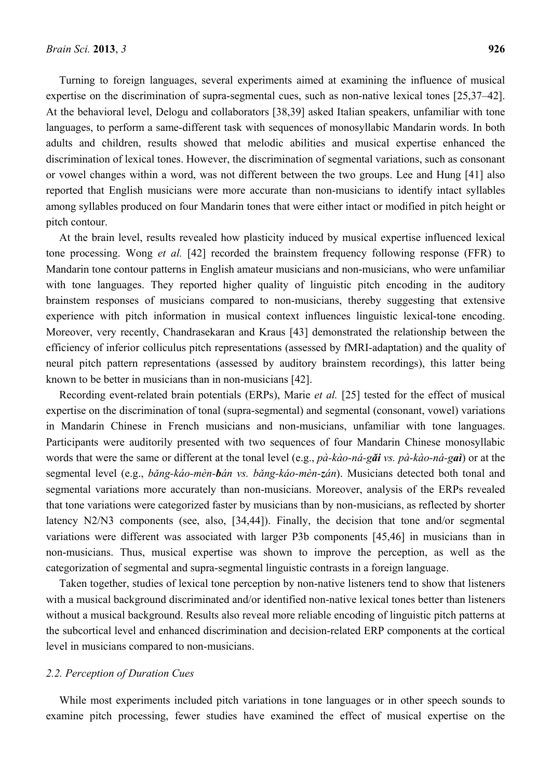Turning to foreign languages, several experiments aimed at examining the influence of musical expertise on the discrimination of supra-segmental cues, such as non-native lexical tones [25,37–42]. At the behavioral level, Delogu and collaborators [38,39] asked Italian speakers, unfamiliar with tone languages, to perform a same-different task with sequences of monosyllabic Mandarin words. In both adults and children, results showed that melodic abilities and musical expertise enhanced the discrimination of lexical tones. However, the discrimination of segmental variations, such as consonant or vowel changes within a word, was not different between the two groups. Lee and Hung [41] also reported that English musicians were more accurate than non-musicians to identify intact syllables among syllables produced on four Mandarin tones that were either intact or modified in pitch height or pitch contour.

At the brain level, results revealed how plasticity induced by musical expertise influenced lexical tone processing. Wong *et al.* [42] recorded the brainstem frequency following response (FFR) to Mandarin tone contour patterns in English amateur musicians and non-musicians, who were unfamiliar with tone languages. They reported higher quality of linguistic pitch encoding in the auditory brainstem responses of musicians compared to non-musicians, thereby suggesting that extensive experience with pitch information in musical context influences linguistic lexical-tone encoding. Moreover, very recently, Chandrasekaran and Kraus [43] demonstrated the relationship between the efficiency of inferior colliculus pitch representations (assessed by fMRI-adaptation) and the quality of neural pitch pattern representations (assessed by auditory brainstem recordings), this latter being known to be better in musicians than in non-musicians [42].

Recording event-related brain potentials (ERPs), Marie *et al.* [25] tested for the effect of musical expertise on the discrimination of tonal (supra-segmental) and segmental (consonant, vowel) variations in Mandarin Chinese in French musicians and non-musicians, unfamiliar with tone languages. Participants were auditorily presented with two sequences of four Mandarin Chinese monosyllabic words that were the same or different at the tonal level (e.g., *pà-kào-ná-gǎi vs. pà-kào-ná-gaì*) or at the segmental level (e.g., *bǎng-káo-mèn-bán vs. bǎng-káo-mèn-zán*). Musicians detected both tonal and segmental variations more accurately than non-musicians. Moreover, analysis of the ERPs revealed that tone variations were categorized faster by musicians than by non-musicians, as reflected by shorter latency N2/N3 components (see, also, [34,44]). Finally, the decision that tone and/or segmental variations were different was associated with larger P3b components [45,46] in musicians than in non-musicians. Thus, musical expertise was shown to improve the perception, as well as the categorization of segmental and supra-segmental linguistic contrasts in a foreign language.

Taken together, studies of lexical tone perception by non-native listeners tend to show that listeners with a musical background discriminated and/or identified non-native lexical tones better than listeners without a musical background. Results also reveal more reliable encoding of linguistic pitch patterns at the subcortical level and enhanced discrimination and decision-related ERP components at the cortical level in musicians compared to non-musicians.

#### *2.2. Perception of Duration Cues*

While most experiments included pitch variations in tone languages or in other speech sounds to examine pitch processing, fewer studies have examined the effect of musical expertise on the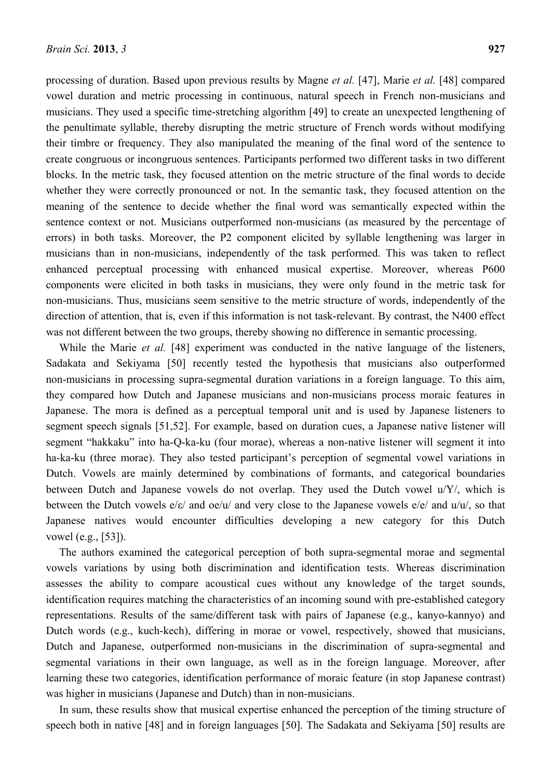processing of duration. Based upon previous results by Magne *et al.* [47], Marie *et al.* [48] compared vowel duration and metric processing in continuous, natural speech in French non-musicians and musicians. They used a specific time-stretching algorithm [49] to create an unexpected lengthening of the penultimate syllable, thereby disrupting the metric structure of French words without modifying their timbre or frequency. They also manipulated the meaning of the final word of the sentence to create congruous or incongruous sentences. Participants performed two different tasks in two different blocks. In the metric task, they focused attention on the metric structure of the final words to decide whether they were correctly pronounced or not. In the semantic task, they focused attention on the meaning of the sentence to decide whether the final word was semantically expected within the sentence context or not. Musicians outperformed non-musicians (as measured by the percentage of errors) in both tasks. Moreover, the P2 component elicited by syllable lengthening was larger in musicians than in non-musicians, independently of the task performed. This was taken to reflect enhanced perceptual processing with enhanced musical expertise. Moreover, whereas P600 components were elicited in both tasks in musicians, they were only found in the metric task for non-musicians. Thus, musicians seem sensitive to the metric structure of words, independently of the direction of attention, that is, even if this information is not task-relevant. By contrast, the N400 effect was not different between the two groups, thereby showing no difference in semantic processing.

While the Marie *et al.* [48] experiment was conducted in the native language of the listeners, Sadakata and Sekiyama [50] recently tested the hypothesis that musicians also outperformed non-musicians in processing supra-segmental duration variations in a foreign language. To this aim, they compared how Dutch and Japanese musicians and non-musicians process moraic features in Japanese. The mora is defined as a perceptual temporal unit and is used by Japanese listeners to segment speech signals [51,52]. For example, based on duration cues, a Japanese native listener will segment "hakkaku" into ha-Q-ka-ku (four morae), whereas a non-native listener will segment it into ha-ka-ku (three morae). They also tested participant's perception of segmental vowel variations in Dutch. Vowels are mainly determined by combinations of formants, and categorical boundaries between Dutch and Japanese vowels do not overlap. They used the Dutch vowel u/Y/, which is between the Dutch vowels e/ε/ and oe/u/ and very close to the Japanese vowels e/e/ and u/u/, so that Japanese natives would encounter difficulties developing a new category for this Dutch vowel (e.g., [53]).

The authors examined the categorical perception of both supra-segmental morae and segmental vowels variations by using both discrimination and identification tests. Whereas discrimination assesses the ability to compare acoustical cues without any knowledge of the target sounds, identification requires matching the characteristics of an incoming sound with pre-established category representations. Results of the same/different task with pairs of Japanese (e.g., kanyo-kannyo) and Dutch words (e.g., kuch-kech), differing in morae or vowel, respectively, showed that musicians, Dutch and Japanese, outperformed non-musicians in the discrimination of supra-segmental and segmental variations in their own language, as well as in the foreign language. Moreover, after learning these two categories, identification performance of moraic feature (in stop Japanese contrast) was higher in musicians (Japanese and Dutch) than in non-musicians.

In sum, these results show that musical expertise enhanced the perception of the timing structure of speech both in native [48] and in foreign languages [50]. The Sadakata and Sekiyama [50] results are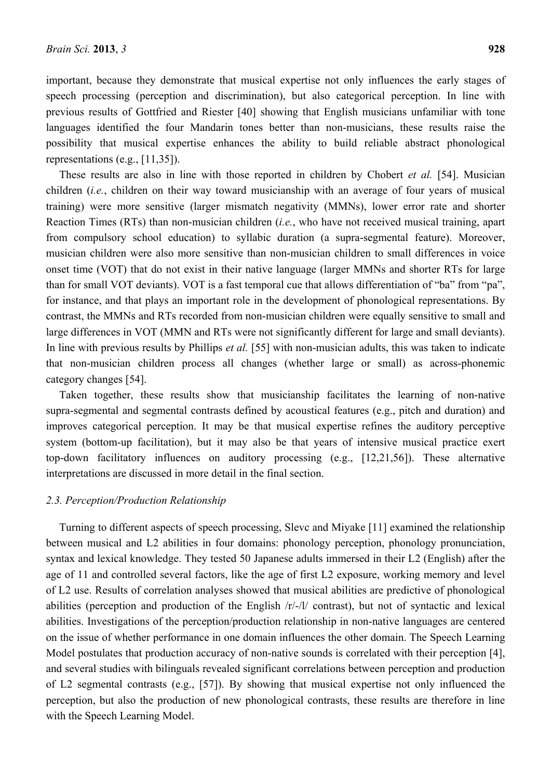important, because they demonstrate that musical expertise not only influences the early stages of speech processing (perception and discrimination), but also categorical perception. In line with previous results of Gottfried and Riester [40] showing that English musicians unfamiliar with tone languages identified the four Mandarin tones better than non-musicians, these results raise the possibility that musical expertise enhances the ability to build reliable abstract phonological representations (e.g., [11,35]).

These results are also in line with those reported in children by Chobert *et al.* [54]. Musician children (*i.e.*, children on their way toward musicianship with an average of four years of musical training) were more sensitive (larger mismatch negativity (MMNs), lower error rate and shorter Reaction Times (RTs) than non-musician children (*i.e.*, who have not received musical training, apart from compulsory school education) to syllabic duration (a supra-segmental feature). Moreover, musician children were also more sensitive than non-musician children to small differences in voice onset time (VOT) that do not exist in their native language (larger MMNs and shorter RTs for large than for small VOT deviants). VOT is a fast temporal cue that allows differentiation of "ba" from "pa", for instance, and that plays an important role in the development of phonological representations. By contrast, the MMNs and RTs recorded from non-musician children were equally sensitive to small and large differences in VOT (MMN and RTs were not significantly different for large and small deviants). In line with previous results by Phillips *et al.* [55] with non-musician adults, this was taken to indicate that non-musician children process all changes (whether large or small) as across-phonemic category changes [54].

Taken together, these results show that musicianship facilitates the learning of non-native supra-segmental and segmental contrasts defined by acoustical features (e.g., pitch and duration) and improves categorical perception. It may be that musical expertise refines the auditory perceptive system (bottom-up facilitation), but it may also be that years of intensive musical practice exert top-down facilitatory influences on auditory processing (e.g., [12,21,56]). These alternative interpretations are discussed in more detail in the final section.

#### *2.3. Perception/Production Relationship*

Turning to different aspects of speech processing, Slevc and Miyake [11] examined the relationship between musical and L2 abilities in four domains: phonology perception, phonology pronunciation, syntax and lexical knowledge. They tested 50 Japanese adults immersed in their L2 (English) after the age of 11 and controlled several factors, like the age of first L2 exposure, working memory and level of L2 use. Results of correlation analyses showed that musical abilities are predictive of phonological abilities (perception and production of the English /r/-/l/ contrast), but not of syntactic and lexical abilities. Investigations of the perception/production relationship in non-native languages are centered on the issue of whether performance in one domain influences the other domain. The Speech Learning Model postulates that production accuracy of non-native sounds is correlated with their perception [4], and several studies with bilinguals revealed significant correlations between perception and production of L2 segmental contrasts (e.g., [57]). By showing that musical expertise not only influenced the perception, but also the production of new phonological contrasts, these results are therefore in line with the Speech Learning Model.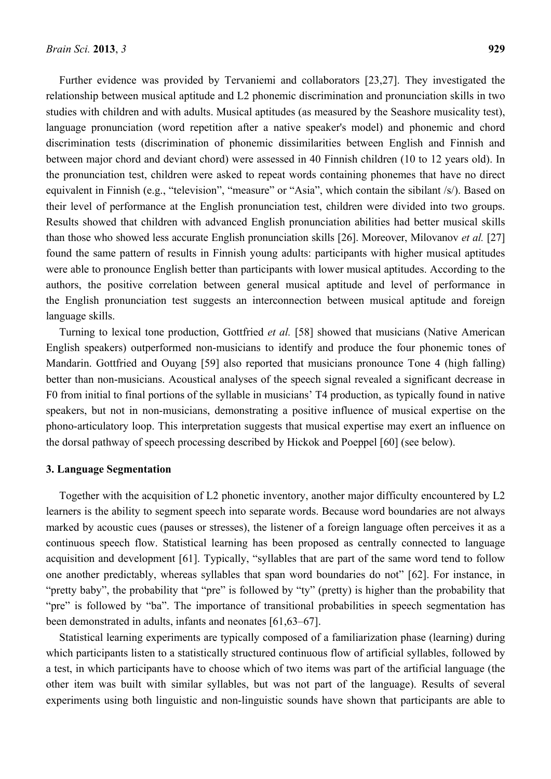Further evidence was provided by Tervaniemi and collaborators [23,27]. They investigated the relationship between musical aptitude and L2 phonemic discrimination and pronunciation skills in two studies with children and with adults. Musical aptitudes (as measured by the Seashore musicality test), language pronunciation (word repetition after a native speaker's model) and phonemic and chord discrimination tests (discrimination of phonemic dissimilarities between English and Finnish and between major chord and deviant chord) were assessed in 40 Finnish children (10 to 12 years old). In the pronunciation test, children were asked to repeat words containing phonemes that have no direct equivalent in Finnish (e.g., "television", "measure" or "Asia", which contain the sibilant /s/). Based on their level of performance at the English pronunciation test, children were divided into two groups. Results showed that children with advanced English pronunciation abilities had better musical skills than those who showed less accurate English pronunciation skills [26]. Moreover, Milovanov *et al.* [27] found the same pattern of results in Finnish young adults: participants with higher musical aptitudes were able to pronounce English better than participants with lower musical aptitudes. According to the authors, the positive correlation between general musical aptitude and level of performance in the English pronunciation test suggests an interconnection between musical aptitude and foreign language skills.

Turning to lexical tone production, Gottfried *et al.* [58] showed that musicians (Native American English speakers) outperformed non-musicians to identify and produce the four phonemic tones of Mandarin. Gottfried and Ouyang [59] also reported that musicians pronounce Tone 4 (high falling) better than non-musicians. Acoustical analyses of the speech signal revealed a significant decrease in F0 from initial to final portions of the syllable in musicians' T4 production, as typically found in native speakers, but not in non-musicians, demonstrating a positive influence of musical expertise on the phono-articulatory loop. This interpretation suggests that musical expertise may exert an influence on the dorsal pathway of speech processing described by Hickok and Poeppel [60] (see below).

#### **3. Language Segmentation**

Together with the acquisition of L2 phonetic inventory, another major difficulty encountered by L2 learners is the ability to segment speech into separate words. Because word boundaries are not always marked by acoustic cues (pauses or stresses), the listener of a foreign language often perceives it as a continuous speech flow. Statistical learning has been proposed as centrally connected to language acquisition and development [61]. Typically, "syllables that are part of the same word tend to follow one another predictably, whereas syllables that span word boundaries do not" [62]. For instance, in "pretty baby", the probability that "pre" is followed by "ty" (pretty) is higher than the probability that "pre" is followed by "ba". The importance of transitional probabilities in speech segmentation has been demonstrated in adults, infants and neonates [61,63–67].

Statistical learning experiments are typically composed of a familiarization phase (learning) during which participants listen to a statistically structured continuous flow of artificial syllables, followed by a test, in which participants have to choose which of two items was part of the artificial language (the other item was built with similar syllables, but was not part of the language). Results of several experiments using both linguistic and non-linguistic sounds have shown that participants are able to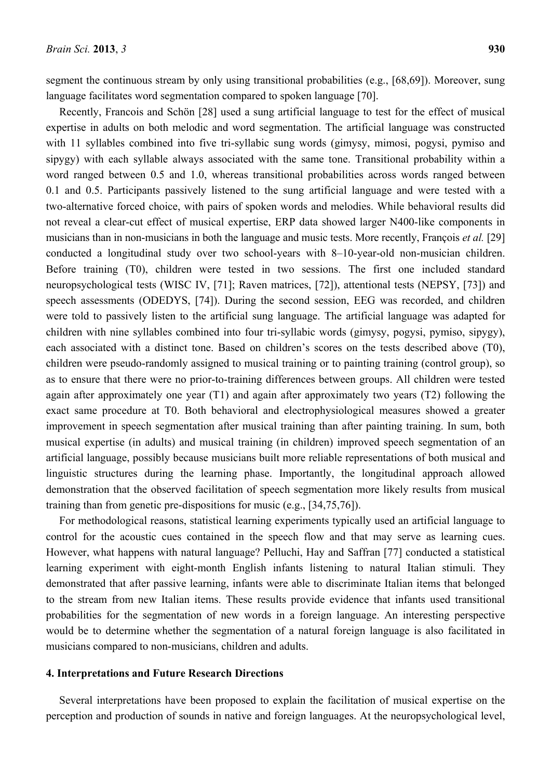segment the continuous stream by only using transitional probabilities (e.g., [68,69]). Moreover, sung language facilitates word segmentation compared to spoken language [70].

Recently, Francois and Schön [28] used a sung artificial language to test for the effect of musical expertise in adults on both melodic and word segmentation. The artificial language was constructed with 11 syllables combined into five tri-syllabic sung words (gimysy, mimosi, pogysi, pymiso and sipygy) with each syllable always associated with the same tone. Transitional probability within a word ranged between 0.5 and 1.0, whereas transitional probabilities across words ranged between 0.1 and 0.5. Participants passively listened to the sung artificial language and were tested with a two-alternative forced choice, with pairs of spoken words and melodies. While behavioral results did not reveal a clear-cut effect of musical expertise, ERP data showed larger N400-like components in musicians than in non-musicians in both the language and music tests. More recently, François *et al.* [29] conducted a longitudinal study over two school-years with 8–10-year-old non-musician children. Before training (T0), children were tested in two sessions. The first one included standard neuropsychological tests (WISC IV, [71]; Raven matrices, [72]), attentional tests (NEPSY, [73]) and speech assessments (ODEDYS, [74]). During the second session, EEG was recorded, and children were told to passively listen to the artificial sung language. The artificial language was adapted for children with nine syllables combined into four tri-syllabic words (gimysy, pogysi, pymiso, sipygy), each associated with a distinct tone. Based on children's scores on the tests described above (T0), children were pseudo-randomly assigned to musical training or to painting training (control group), so as to ensure that there were no prior-to-training differences between groups. All children were tested again after approximately one year (T1) and again after approximately two years (T2) following the exact same procedure at T0. Both behavioral and electrophysiological measures showed a greater improvement in speech segmentation after musical training than after painting training. In sum, both musical expertise (in adults) and musical training (in children) improved speech segmentation of an artificial language, possibly because musicians built more reliable representations of both musical and linguistic structures during the learning phase. Importantly, the longitudinal approach allowed demonstration that the observed facilitation of speech segmentation more likely results from musical training than from genetic pre-dispositions for music (e.g., [34,75,76]).

For methodological reasons, statistical learning experiments typically used an artificial language to control for the acoustic cues contained in the speech flow and that may serve as learning cues. However, what happens with natural language? Pelluchi, Hay and Saffran [77] conducted a statistical learning experiment with eight-month English infants listening to natural Italian stimuli. They demonstrated that after passive learning, infants were able to discriminate Italian items that belonged to the stream from new Italian items. These results provide evidence that infants used transitional probabilities for the segmentation of new words in a foreign language. An interesting perspective would be to determine whether the segmentation of a natural foreign language is also facilitated in musicians compared to non-musicians, children and adults.

#### **4. Interpretations and Future Research Directions**

Several interpretations have been proposed to explain the facilitation of musical expertise on the perception and production of sounds in native and foreign languages. At the neuropsychological level,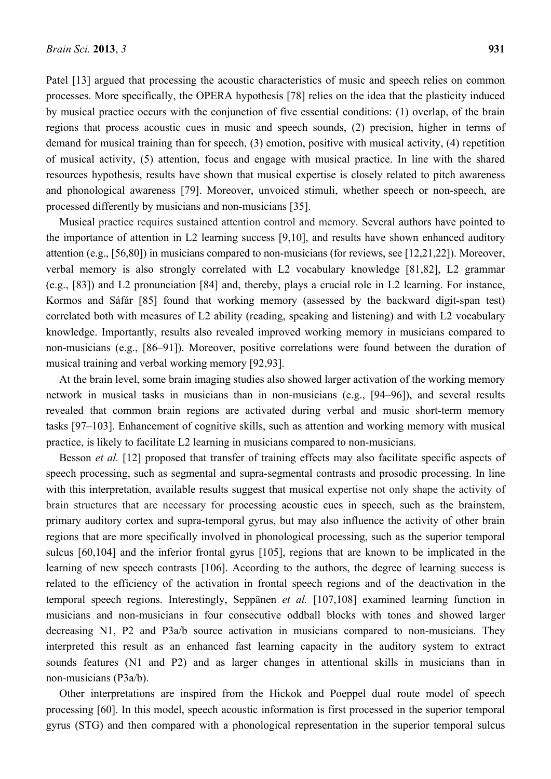Patel [13] argued that processing the acoustic characteristics of music and speech relies on common processes. More specifically, the OPERA hypothesis [78] relies on the idea that the plasticity induced by musical practice occurs with the conjunction of five essential conditions: (1) overlap, of the brain regions that process acoustic cues in music and speech sounds, (2) precision, higher in terms of demand for musical training than for speech, (3) emotion, positive with musical activity, (4) repetition of musical activity, (5) attention, focus and engage with musical practice. In line with the shared resources hypothesis, results have shown that musical expertise is closely related to pitch awareness and phonological awareness [79]. Moreover, unvoiced stimuli, whether speech or non-speech, are processed differently by musicians and non-musicians [35].

Musical practice requires sustained attention control and memory. Several authors have pointed to the importance of attention in L2 learning success [9,10], and results have shown enhanced auditory attention (e.g., [56,80]) in musicians compared to non-musicians (for reviews, see [12,21,22]). Moreover, verbal memory is also strongly correlated with L2 vocabulary knowledge [81,82], L2 grammar (e.g., [83]) and L2 pronunciation [84] and, thereby, plays a crucial role in L2 learning. For instance, Kormos and Sáfár [85] found that working memory (assessed by the backward digit-span test) correlated both with measures of L2 ability (reading, speaking and listening) and with L2 vocabulary knowledge. Importantly, results also revealed improved working memory in musicians compared to non-musicians (e.g., [86–91]). Moreover, positive correlations were found between the duration of musical training and verbal working memory [92,93].

At the brain level, some brain imaging studies also showed larger activation of the working memory network in musical tasks in musicians than in non-musicians (e.g., [94–96]), and several results revealed that common brain regions are activated during verbal and music short-term memory tasks [97–103]. Enhancement of cognitive skills, such as attention and working memory with musical practice, is likely to facilitate L2 learning in musicians compared to non-musicians.

Besson *et al.* [12] proposed that transfer of training effects may also facilitate specific aspects of speech processing, such as segmental and supra-segmental contrasts and prosodic processing. In line with this interpretation, available results suggest that musical expertise not only shape the activity of brain structures that are necessary for processing acoustic cues in speech, such as the brainstem, primary auditory cortex and supra-temporal gyrus, but may also influence the activity of other brain regions that are more specifically involved in phonological processing, such as the superior temporal sulcus [60,104] and the inferior frontal gyrus [105], regions that are known to be implicated in the learning of new speech contrasts [106]. According to the authors, the degree of learning success is related to the efficiency of the activation in frontal speech regions and of the deactivation in the temporal speech regions. Interestingly, Seppänen *et al.* [107,108] examined learning function in musicians and non-musicians in four consecutive oddball blocks with tones and showed larger decreasing N1, P2 and P3a/b source activation in musicians compared to non-musicians. They interpreted this result as an enhanced fast learning capacity in the auditory system to extract sounds features (N1 and P2) and as larger changes in attentional skills in musicians than in non-musicians (P3a/b).

Other interpretations are inspired from the Hickok and Poeppel dual route model of speech processing [60]. In this model, speech acoustic information is first processed in the superior temporal gyrus (STG) and then compared with a phonological representation in the superior temporal sulcus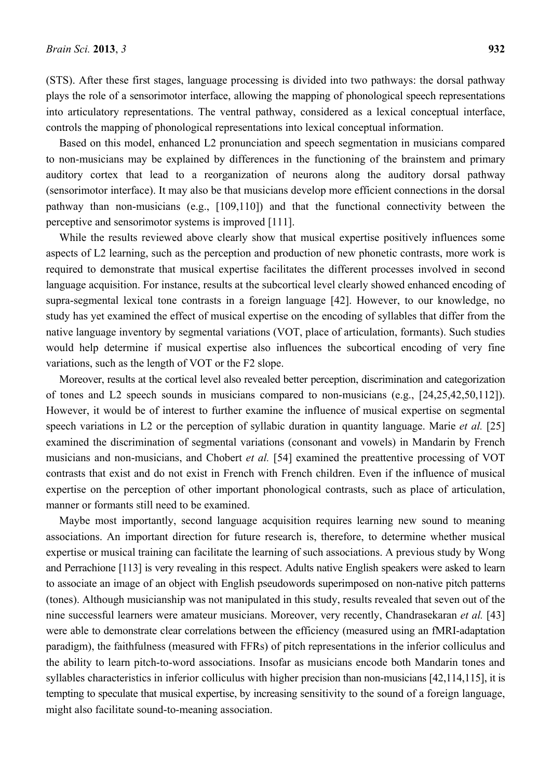(STS). After these first stages, language processing is divided into two pathways: the dorsal pathway plays the role of a sensorimotor interface, allowing the mapping of phonological speech representations into articulatory representations. The ventral pathway, considered as a lexical conceptual interface, controls the mapping of phonological representations into lexical conceptual information.

Based on this model, enhanced L2 pronunciation and speech segmentation in musicians compared to non-musicians may be explained by differences in the functioning of the brainstem and primary auditory cortex that lead to a reorganization of neurons along the auditory dorsal pathway (sensorimotor interface). It may also be that musicians develop more efficient connections in the dorsal pathway than non-musicians (e.g., [109,110]) and that the functional connectivity between the perceptive and sensorimotor systems is improved [111].

While the results reviewed above clearly show that musical expertise positively influences some aspects of L2 learning, such as the perception and production of new phonetic contrasts, more work is required to demonstrate that musical expertise facilitates the different processes involved in second language acquisition. For instance, results at the subcortical level clearly showed enhanced encoding of supra-segmental lexical tone contrasts in a foreign language [42]. However, to our knowledge, no study has yet examined the effect of musical expertise on the encoding of syllables that differ from the native language inventory by segmental variations (VOT, place of articulation, formants). Such studies would help determine if musical expertise also influences the subcortical encoding of very fine variations, such as the length of VOT or the F2 slope.

Moreover, results at the cortical level also revealed better perception, discrimination and categorization of tones and L2 speech sounds in musicians compared to non-musicians (e.g., [24,25,42,50,112]). However, it would be of interest to further examine the influence of musical expertise on segmental speech variations in L2 or the perception of syllabic duration in quantity language. Marie *et al.* [25] examined the discrimination of segmental variations (consonant and vowels) in Mandarin by French musicians and non-musicians, and Chobert *et al.* [54] examined the preattentive processing of VOT contrasts that exist and do not exist in French with French children. Even if the influence of musical expertise on the perception of other important phonological contrasts, such as place of articulation, manner or formants still need to be examined.

Maybe most importantly, second language acquisition requires learning new sound to meaning associations. An important direction for future research is, therefore, to determine whether musical expertise or musical training can facilitate the learning of such associations. A previous study by Wong and Perrachione [113] is very revealing in this respect. Adults native English speakers were asked to learn to associate an image of an object with English pseudowords superimposed on non-native pitch patterns (tones). Although musicianship was not manipulated in this study, results revealed that seven out of the nine successful learners were amateur musicians. Moreover, very recently, Chandrasekaran *et al.* [43] were able to demonstrate clear correlations between the efficiency (measured using an fMRI-adaptation paradigm), the faithfulness (measured with FFRs) of pitch representations in the inferior colliculus and the ability to learn pitch-to-word associations. Insofar as musicians encode both Mandarin tones and syllables characteristics in inferior colliculus with higher precision than non-musicians [42,114,115], it is tempting to speculate that musical expertise, by increasing sensitivity to the sound of a foreign language, might also facilitate sound-to-meaning association.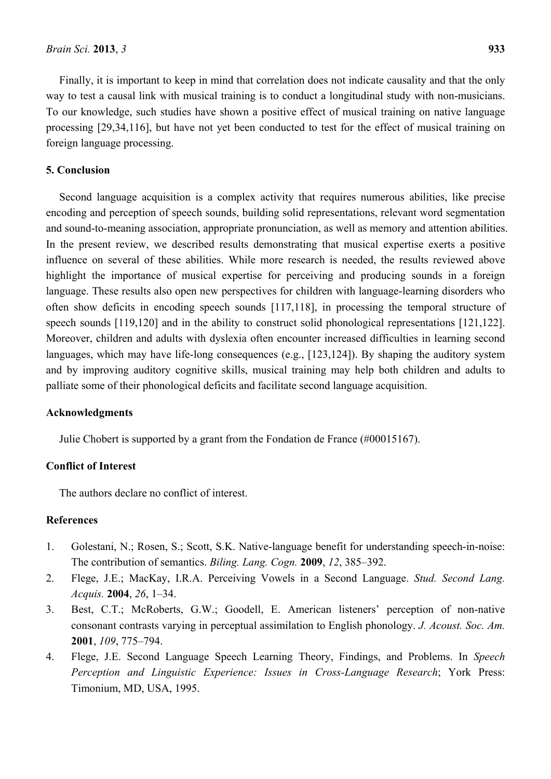Finally, it is important to keep in mind that correlation does not indicate causality and that the only way to test a causal link with musical training is to conduct a longitudinal study with non-musicians. To our knowledge, such studies have shown a positive effect of musical training on native language processing [29,34,116], but have not yet been conducted to test for the effect of musical training on foreign language processing.

## **5. Conclusion**

Second language acquisition is a complex activity that requires numerous abilities, like precise encoding and perception of speech sounds, building solid representations, relevant word segmentation and sound-to-meaning association, appropriate pronunciation, as well as memory and attention abilities. In the present review, we described results demonstrating that musical expertise exerts a positive influence on several of these abilities. While more research is needed, the results reviewed above highlight the importance of musical expertise for perceiving and producing sounds in a foreign language. These results also open new perspectives for children with language-learning disorders who often show deficits in encoding speech sounds [117,118], in processing the temporal structure of speech sounds [119,120] and in the ability to construct solid phonological representations [121,122]. Moreover, children and adults with dyslexia often encounter increased difficulties in learning second languages, which may have life-long consequences (e.g., [123,124]). By shaping the auditory system and by improving auditory cognitive skills, musical training may help both children and adults to palliate some of their phonological deficits and facilitate second language acquisition.

### **Acknowledgments**

Julie Chobert is supported by a grant from the Fondation de France (#00015167).

### **Conflict of Interest**

The authors declare no conflict of interest.

### **References**

- 1. Golestani, N.; Rosen, S.; Scott, S.K. Native-language benefit for understanding speech-in-noise: The contribution of semantics. *Biling. Lang. Cogn.* **2009**, *12*, 385–392.
- 2. Flege, J.E.; MacKay, I.R.A. Perceiving Vowels in a Second Language. *Stud. Second Lang. Acquis.* **2004**, *26*, 1–34.
- 3. Best, C.T.; McRoberts, G.W.; Goodell, E. American listeners' perception of non-native consonant contrasts varying in perceptual assimilation to English phonology. *J. Acoust. Soc. Am.* **2001**, *109*, 775–794.
- 4. Flege, J.E. Second Language Speech Learning Theory, Findings, and Problems. In *Speech Perception and Linguistic Experience: Issues in Cross-Language Research*; York Press: Timonium, MD, USA, 1995.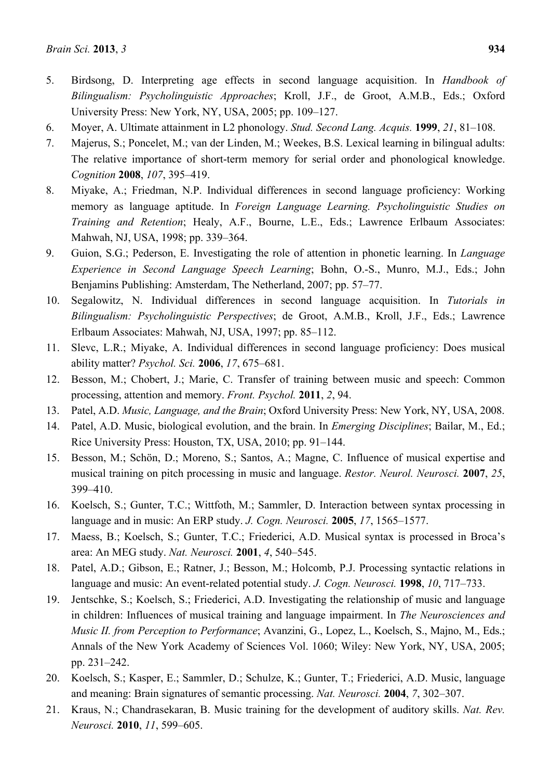- 5. Birdsong, D. Interpreting age effects in second language acquisition. In *Handbook of Bilingualism: Psycholinguistic Approaches*; Kroll, J.F., de Groot, A.M.B., Eds.; Oxford University Press: New York, NY, USA, 2005; pp. 109–127.
- 6. Moyer, A. Ultimate attainment in L2 phonology. *Stud. Second Lang. Acquis.* **1999**, *21*, 81–108.
- 7. Majerus, S.; Poncelet, M.; van der Linden, M.; Weekes, B.S. Lexical learning in bilingual adults: The relative importance of short-term memory for serial order and phonological knowledge. *Cognition* **2008**, *107*, 395–419.
- 8. Miyake, A.; Friedman, N.P. Individual differences in second language proficiency: Working memory as language aptitude. In *Foreign Language Learning. Psycholinguistic Studies on Training and Retention*; Healy, A.F., Bourne, L.E., Eds.; Lawrence Erlbaum Associates: Mahwah, NJ, USA, 1998; pp. 339–364.
- 9. Guion, S.G.; Pederson, E. Investigating the role of attention in phonetic learning. In *Language Experience in Second Language Speech Learning*; Bohn, O.-S., Munro, M.J., Eds.; John Benjamins Publishing: Amsterdam, The Netherland, 2007; pp. 57–77.
- 10. Segalowitz, N. Individual differences in second language acquisition. In *Tutorials in Bilingualism: Psycholinguistic Perspectives*; de Groot, A.M.B., Kroll, J.F., Eds.; Lawrence Erlbaum Associates: Mahwah, NJ, USA, 1997; pp. 85–112.
- 11. Slevc, L.R.; Miyake, A. Individual differences in second language proficiency: Does musical ability matter? *Psychol. Sci.* **2006**, *17*, 675–681.
- 12. Besson, M.; Chobert, J.; Marie, C. Transfer of training between music and speech: Common processing, attention and memory. *Front. Psychol.* **2011**, *2*, 94.
- 13. Patel, A.D. *Music, Language, and the Brain*; Oxford University Press: New York, NY, USA, 2008.
- 14. Patel, A.D. Music, biological evolution, and the brain. In *Emerging Disciplines*; Bailar, M., Ed.; Rice University Press: Houston, TX, USA, 2010; pp. 91–144.
- 15. Besson, M.; Schön, D.; Moreno, S.; Santos, A.; Magne, C. Influence of musical expertise and musical training on pitch processing in music and language. *Restor. Neurol. Neurosci.* **2007**, *25*, 399–410.
- 16. Koelsch, S.; Gunter, T.C.; Wittfoth, M.; Sammler, D. Interaction between syntax processing in language and in music: An ERP study. *J. Cogn. Neurosci.* **2005**, *17*, 1565–1577.
- 17. Maess, B.; Koelsch, S.; Gunter, T.C.; Friederici, A.D. Musical syntax is processed in Broca's area: An MEG study. *Nat. Neurosci.* **2001**, *4*, 540–545.
- 18. Patel, A.D.; Gibson, E.; Ratner, J.; Besson, M.; Holcomb, P.J. Processing syntactic relations in language and music: An event-related potential study. *J. Cogn. Neurosci.* **1998**, *10*, 717–733.
- 19. Jentschke, S.; Koelsch, S.; Friederici, A.D. Investigating the relationship of music and language in children: Influences of musical training and language impairment. In *The Neurosciences and Music II. from Perception to Performance*; Avanzini, G., Lopez, L., Koelsch, S., Majno, M., Eds.; Annals of the New York Academy of Sciences Vol. 1060; Wiley: New York, NY, USA, 2005; pp. 231–242.
- 20. Koelsch, S.; Kasper, E.; Sammler, D.; Schulze, K.; Gunter, T.; Friederici, A.D. Music, language and meaning: Brain signatures of semantic processing. *Nat. Neurosci.* **2004**, *7*, 302–307.
- 21. Kraus, N.; Chandrasekaran, B. Music training for the development of auditory skills. *Nat. Rev. Neurosci.* **2010**, *11*, 599–605.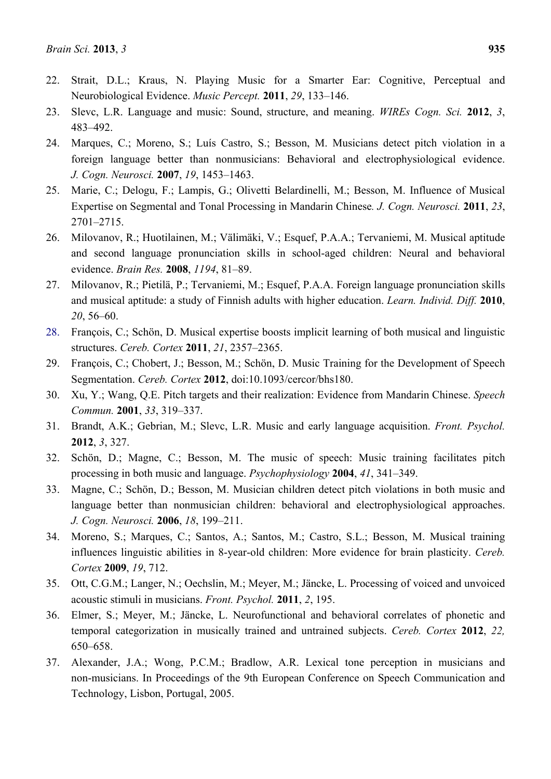- 22. Strait, D.L.; Kraus, N. Playing Music for a Smarter Ear: Cognitive, Perceptual and Neurobiological Evidence. *Music Percept.* **2011**, *29*, 133–146.
- 23. Slevc, L.R. Language and music: Sound, structure, and meaning. *WIREs Cogn. Sci.* **2012**, *3*, 483–492.
- 24. Marques, C.; Moreno, S.; Luís Castro, S.; Besson, M. Musicians detect pitch violation in a foreign language better than nonmusicians: Behavioral and electrophysiological evidence. *J. Cogn. Neurosci.* **2007**, *19*, 1453–1463.
- 25. Marie, C.; Delogu, F.; Lampis, G.; Olivetti Belardinelli, M.; Besson, M. Influence of Musical Expertise on Segmental and Tonal Processing in Mandarin Chinese*. J. Cogn. Neurosci.* **2011**, *23*, 2701–2715.
- 26. Milovanov, R.; Huotilainen, M.; Välimäki, V.; Esquef, P.A.A.; Tervaniemi, M. Musical aptitude and second language pronunciation skills in school-aged children: Neural and behavioral evidence. *Brain Res.* **2008**, *1194*, 81–89.
- 27. Milovanov, R.; Pietilä, P.; Tervaniemi, M.; Esquef, P.A.A. Foreign language pronunciation skills and musical aptitude: a study of Finnish adults with higher education. *Learn. Individ. Diff.* **2010**, *20*, 56–60.
- 28. François, C.; Schön, D. Musical expertise boosts implicit learning of both musical and linguistic structures. *Cereb. Cortex* **2011**, *21*, 2357–2365.
- 29. François, C.; Chobert, J.; Besson, M.; Schön, D. Music Training for the Development of Speech Segmentation. *Cereb. Cortex* **2012**, doi:10.1093/cercor/bhs180.
- 30. Xu, Y.; Wang, Q.E. Pitch targets and their realization: Evidence from Mandarin Chinese. *Speech Commun.* **2001**, *33*, 319–337.
- 31. Brandt, A.K.; Gebrian, M.; Slevc, L.R. Music and early language acquisition. *Front. Psychol.*  **2012**, *3*, 327.
- 32. Schön, D.; Magne, C.; Besson, M. The music of speech: Music training facilitates pitch processing in both music and language. *Psychophysiology* **2004**, *41*, 341–349.
- 33. Magne, C.; Schön, D.; Besson, M. Musician children detect pitch violations in both music and language better than nonmusician children: behavioral and electrophysiological approaches. *J. Cogn. Neurosci.* **2006**, *18*, 199–211.
- 34. Moreno, S.; Marques, C.; Santos, A.; Santos, M.; Castro, S.L.; Besson, M. Musical training influences linguistic abilities in 8-year-old children: More evidence for brain plasticity. *Cereb. Cortex* **2009**, *19*, 712.
- 35. Ott, C.G.M.; Langer, N.; Oechslin, M.; Meyer, M.; Jäncke, L. Processing of voiced and unvoiced acoustic stimuli in musicians. *Front. Psychol.* **2011**, *2*, 195.
- 36. Elmer, S.; Meyer, M.; Jäncke, L. Neurofunctional and behavioral correlates of phonetic and temporal categorization in musically trained and untrained subjects. *Cereb. Cortex* **2012**, *22,*  650–658.
- 37. Alexander, J.A.; Wong, P.C.M.; Bradlow, A.R. Lexical tone perception in musicians and non-musicians. In Proceedings of the 9th European Conference on Speech Communication and Technology, Lisbon, Portugal, 2005.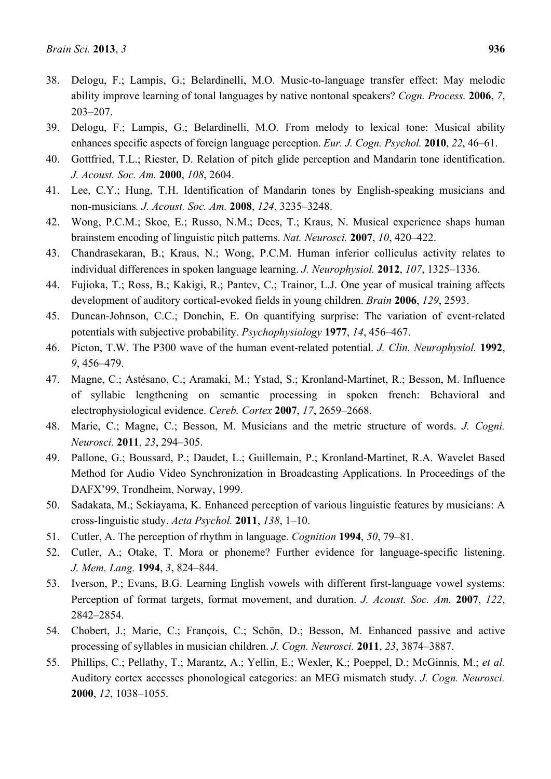- 38. Delogu, F.; Lampis, G.; Belardinelli, M.O. Music-to-language transfer effect: May melodic ability improve learning of tonal languages by native nontonal speakers? *Cogn. Process.* **2006**, *7*, 203–207.
- 39. Delogu, F.; Lampis, G.; Belardinelli, M.O. From melody to lexical tone: Musical ability enhances specific aspects of foreign language perception. *Eur. J. Cogn. Psychol.* **2010**, *22*, 46–61.
- 40. Gottfried, T.L.; Riester, D. Relation of pitch glide perception and Mandarin tone identification. *J. Acoust. Soc. Am.* **2000**, *108*, 2604.
- 41. Lee, C.Y.; Hung, T.H. Identification of Mandarin tones by English-speaking musicians and non-musicians*. J. Acoust. Soc. Am.* **2008**, *124*, 3235–3248.
- 42. Wong, P.C.M.; Skoe, E.; Russo, N.M.; Dees, T.; Kraus, N. Musical experience shaps human brainstem encoding of linguistic pitch patterns. *Nat. Neurosci.* **2007**, *10*, 420–422.
- 43. Chandrasekaran, B.; Kraus, N.; Wong, P.C.M. Human inferior colliculus activity relates to individual differences in spoken language learning. *J. Neurophysiol.* **2012**, *107*, 1325–1336.
- 44. Fujioka, T.; Ross, B.; Kakigi, R.; Pantev, C.; Trainor, L.J. One year of musical training affects development of auditory cortical-evoked fields in young children. *Brain* **2006**, *129*, 2593.
- 45. Duncan-Johnson, C.C.; Donchin, E. On quantifying surprise: The variation of event-related potentials with subjective probability. *Psychophysiology* **1977**, *14*, 456–467.
- 46. Picton, T.W. The P300 wave of the human event-related potential. *J. Clin. Neurophysiol.* **1992**, *9*, 456–479.
- 47. Magne, C.; Astésano, C.; Aramaki, M.; Ystad, S.; Kronland-Martinet, R.; Besson, M. Influence of syllabic lengthening on semantic processing in spoken french: Behavioral and electrophysiological evidence. *Cereb. Cortex* **2007**, *17*, 2659–2668.
- 48. Marie, C.; Magne, C.; Besson, M. Musicians and the metric structure of words. *J. Cogni. Neurosci.* **2011**, *23*, 294–305.
- 49. Pallone, G.; Boussard, P.; Daudet, L.; Guillemain, P.; Kronland-Martinet, R.A. Wavelet Based Method for Audio Video Synchronization in Broadcasting Applications. In Proceedings of the DAFX'99, Trondheim, Norway, 1999.
- 50. Sadakata, M.; Sekiayama, K. Enhanced perception of various linguistic features by musicians: A cross-linguistic study. *Acta Psychol.* **2011**, *138*, 1–10.
- 51. Cutler, A. The perception of rhythm in language. *Cognition* **1994**, *50*, 79–81.
- 52. Cutler, A.; Otake, T. Mora or phoneme? Further evidence for language-specific listening. *J. Mem. Lang.* **1994**, *3*, 824–844.
- 53. Iverson, P.; Evans, B.G. Learning English vowels with different first-language vowel systems: Perception of format targets, format movement, and duration. *J. Acoust. Soc. Am.* **2007**, *122*, 2842–2854.
- 54. Chobert, J.; Marie, C.; François, C.; Schön, D.; Besson, M. Enhanced passive and active processing of syllables in musician children. *J. Cogn. Neurosci.* **2011**, *23*, 3874–3887.
- 55. Phillips, C.; Pellathy, T.; Marantz, A.; Yellin, E.; Wexler, K.; Poeppel, D.; McGinnis, M.; *et al.* Auditory cortex accesses phonological categories: an MEG mismatch study. *J. Cogn. Neurosci.*  **2000**, *12*, 1038–1055.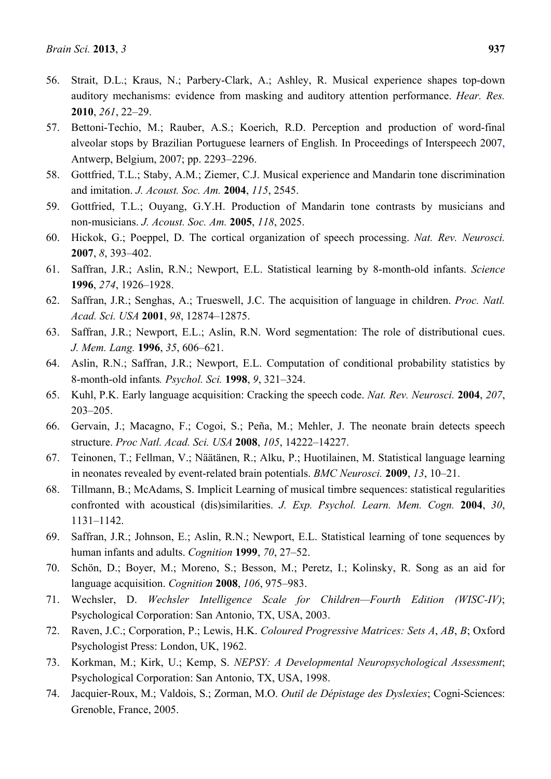- 56. Strait, D.L.; Kraus, N.; Parbery-Clark, A.; Ashley, R. Musical experience shapes top-down auditory mechanisms: evidence from masking and auditory attention performance. *Hear. Res.*  **2010**, *261*, 22–29.
- 57. Bettoni-Techio, M.; Rauber, A.S.; Koerich, R.D. Perception and production of word-final alveolar stops by Brazilian Portuguese learners of English. In Proceedings of Interspeech 2007, Antwerp, Belgium, 2007; pp. 2293–2296.
- 58. Gottfried, T.L.; Staby, A.M.; Ziemer, C.J. Musical experience and Mandarin tone discrimination and imitation. *J. Acoust. Soc. Am.* **2004**, *115*, 2545.
- 59. Gottfried, T.L.; Ouyang, G.Y.H. Production of Mandarin tone contrasts by musicians and non-musicians. *J. Acoust. Soc. Am.* **2005**, *118*, 2025.
- 60. Hickok, G.; Poeppel, D. The cortical organization of speech processing. *Nat. Rev. Neurosci.*  **2007**, *8*, 393–402.
- 61. Saffran, J.R.; Aslin, R.N.; Newport, E.L. Statistical learning by 8-month-old infants. *Science*  **1996**, *274*, 1926–1928.
- 62. Saffran, J.R.; Senghas, A.; Trueswell, J.C. The acquisition of language in children. *Proc. Natl. Acad. Sci. USA* **2001**, *98*, 12874–12875.
- 63. Saffran, J.R.; Newport, E.L.; Aslin, R.N. Word segmentation: The role of distributional cues. *J. Mem. Lang.* **1996**, *35*, 606–621.
- 64. Aslin, R.N.; Saffran, J.R.; Newport, E.L. Computation of conditional probability statistics by 8-month-old infants*. Psychol. Sci.* **1998**, *9*, 321–324.
- 65. Kuhl, P.K. Early language acquisition: Cracking the speech code. *Nat. Rev. Neurosci.* **2004**, *207*, 203–205.
- 66. Gervain, J.; Macagno, F.; Cogoi, S.; Peña, M.; Mehler, J. The neonate brain detects speech structure. *Proc Natl. Acad. Sci. USA* **2008**, *105*, 14222–14227.
- 67. Teinonen, T.; Fellman, V.; Näätänen, R.; Alku, P.; Huotilainen, M. Statistical language learning in neonates revealed by event-related brain potentials. *BMC Neurosci.* **2009**, *13*, 10–21.
- 68. Tillmann, B.; McAdams, S. Implicit Learning of musical timbre sequences: statistical regularities confronted with acoustical (dis)similarities. *J. Exp. Psychol. Learn. Mem. Cogn.* **2004**, *30*, 1131–1142.
- 69. Saffran, J.R.; Johnson, E.; Aslin, R.N.; Newport, E.L. Statistical learning of tone sequences by human infants and adults. *Cognition* **1999**, *70*, 27–52.
- 70. Schön, D.; Boyer, M.; Moreno, S.; Besson, M.; Peretz, I.; Kolinsky, R. Song as an aid for language acquisition. *Cognition* **2008**, *106*, 975–983.
- 71. Wechsler, D. *Wechsler Intelligence Scale for Children—Fourth Edition (WISC-IV)*; Psychological Corporation: San Antonio, TX, USA, 2003.
- 72. Raven, J.C.; Corporation, P.; Lewis, H.K. *Coloured Progressive Matrices: Sets A*, *AB*, *B*; Oxford Psychologist Press: London, UK, 1962.
- 73. Korkman, M.; Kirk, U.; Kemp, S. *NEPSY: A Developmental Neuropsychological Assessment*; Psychological Corporation: San Antonio, TX, USA, 1998.
- 74. Jacquier-Roux, M.; Valdois, S.; Zorman, M.O. *Outil de Dépistage des Dyslexies*; Cogni-Sciences: Grenoble, France, 2005.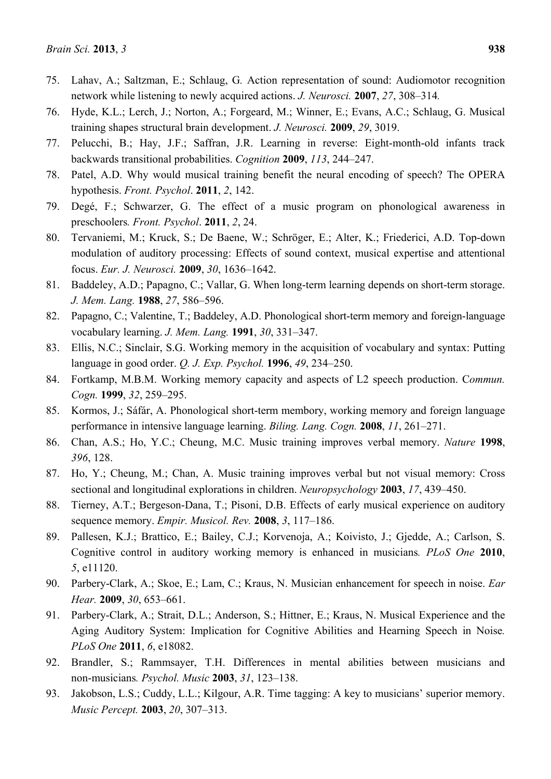- 76. Hyde, K.L.; Lerch, J.; Norton, A.; Forgeard, M.; Winner, E.; Evans, A.C.; Schlaug, G. Musical training shapes structural brain development. *J. Neurosci.* **2009**, *29*, 3019.
- 77. Pelucchi, B.; Hay, J.F.; Saffran, J.R. Learning in reverse: Eight-month-old infants track backwards transitional probabilities. *Cognition* **2009**, *113*, 244–247.
- 78. Patel, A.D. Why would musical training benefit the neural encoding of speech? The OPERA hypothesis. *Front. Psychol*. **2011**, *2*, 142.
- 79. Degé, F.; Schwarzer, G. The effect of a music program on phonological awareness in preschoolers*. Front. Psychol*. **2011**, *2*, 24.
- 80. Tervaniemi, M.; Kruck, S.; De Baene, W.; Schröger, E.; Alter, K.; Friederici, A.D. Top-down modulation of auditory processing: Effects of sound context, musical expertise and attentional focus. *Eur. J. Neurosci.* **2009**, *30*, 1636–1642.
- 81. Baddeley, A.D.; Papagno, C.; Vallar, G. When long-term learning depends on short-term storage. *J. Mem. Lang.* **1988**, *27*, 586–596.
- 82. Papagno, C.; Valentine, T.; Baddeley, A.D. Phonological short-term memory and foreign-language vocabulary learning. *J. Mem. Lang.* **1991**, *30*, 331–347.
- 83. Ellis, N.C.; Sinclair, S.G. Working memory in the acquisition of vocabulary and syntax: Putting language in good order. *Q. J. Exp. Psychol.* **1996**, *49*, 234–250.
- 84. Fortkamp, M.B.M. Working memory capacity and aspects of L2 speech production. C*ommun. Cogn.* **1999**, *32*, 259–295.
- 85. Kormos, J.; Sáfár, A. Phonological short-term membory, working memory and foreign language performance in intensive language learning. *Biling. Lang. Cogn.* **2008**, *11*, 261–271.
- 86. Chan, A.S.; Ho, Y.C.; Cheung, M.C. Music training improves verbal memory. *Nature* **1998**, *396*, 128.
- 87. Ho, Y.; Cheung, M.; Chan, A. Music training improves verbal but not visual memory: Cross sectional and longitudinal explorations in children. *Neuropsychology* **2003**, *17*, 439–450.
- 88. Tierney, A.T.; Bergeson-Dana, T.; Pisoni, D.B. Effects of early musical experience on auditory sequence memory. *Empir. Musicol. Rev.* **2008**, *3*, 117–186.
- 89. Pallesen, K.J.; Brattico, E.; Bailey, C.J.; Korvenoja, A.; Koivisto, J.; Gjedde, A.; Carlson, S. Cognitive control in auditory working memory is enhanced in musicians*. PLoS One* **2010**, *5*, e11120.
- 90. Parbery-Clark, A.; Skoe, E.; Lam, C.; Kraus, N. Musician enhancement for speech in noise. *Ear Hear.* **2009**, *30*, 653–661.
- 91. Parbery-Clark, A.; Strait, D.L.; Anderson, S.; Hittner, E.; Kraus, N. Musical Experience and the Aging Auditory System: Implication for Cognitive Abilities and Hearning Speech in Noise*. PLoS One* **2011**, *6*, e18082.
- 92. Brandler, S.; Rammsayer, T.H. Differences in mental abilities between musicians and non-musicians*. Psychol. Music* **2003**, *31*, 123–138.
- 93. Jakobson, L.S.; Cuddy, L.L.; Kilgour, A.R. Time tagging: A key to musicians' superior memory. *Music Percept.* **2003**, *20*, 307–313.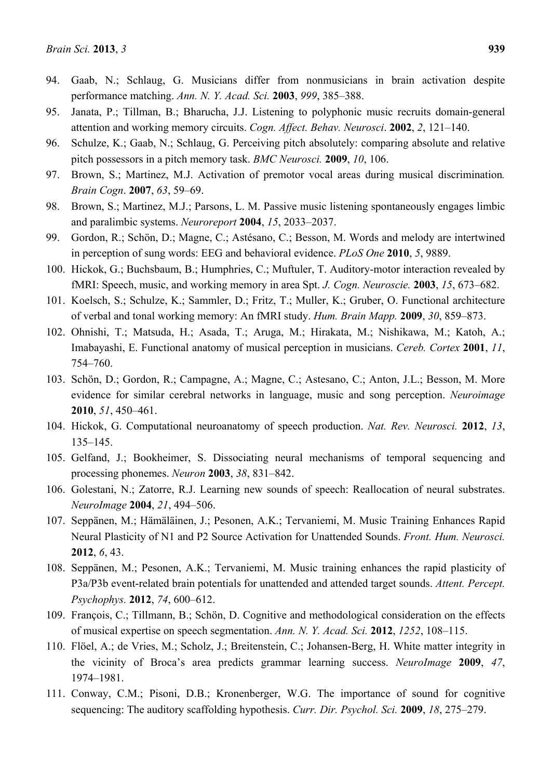- 94. Gaab, N.; Schlaug, G. Musicians differ from nonmusicians in brain activation despite performance matching. *Ann. N. Y. Acad. Sci.* **2003**, *999*, 385–388.
- 95. Janata, P.; Tillman, B.; Bharucha, J.J. Listening to polyphonic music recruits domain-general attention and working memory circuits. *Cogn. Affect. Behav. Neurosci*. **2002**, *2*, 121–140.
- 96. Schulze, K.; Gaab, N.; Schlaug, G. Perceiving pitch absolutely: comparing absolute and relative pitch possessors in a pitch memory task. *BMC Neurosci.* **2009**, *10*, 106.
- 97. Brown, S.; Martinez, M.J. Activation of premotor vocal areas during musical discrimination*. Brain Cogn*. **2007**, *63*, 59–69.
- 98. Brown, S.; Martinez, M.J.; Parsons, L. M. Passive music listening spontaneously engages limbic and paralimbic systems. *Neuroreport* **2004**, *15*, 2033–2037.
- 99. Gordon, R.; Schön, D.; Magne, C.; Astésano, C.; Besson, M. Words and melody are intertwined in perception of sung words: EEG and behavioral evidence. *PLoS One* **2010**, *5*, 9889.
- 100. Hickok, G.; Buchsbaum, B.; Humphries, C.; Muftuler, T. Auditory-motor interaction revealed by fMRI: Speech, music, and working memory in area Spt. *J. Cogn. Neuroscie.* **2003**, *15*, 673–682.
- 101. Koelsch, S.; Schulze, K.; Sammler, D.; Fritz, T.; Muller, K.; Gruber, O. Functional architecture of verbal and tonal working memory: An fMRI study. *Hum. Brain Mapp.* **2009**, *30*, 859–873.
- 102. Ohnishi, T.; Matsuda, H.; Asada, T.; Aruga, M.; Hirakata, M.; Nishikawa, M.; Katoh, A.; Imabayashi, E. Functional anatomy of musical perception in musicians. *Cereb. Cortex* **2001**, *11*, 754–760.
- 103. Schön, D.; Gordon, R.; Campagne, A.; Magne, C.; Astesano, C.; Anton, J.L.; Besson, M. More evidence for similar cerebral networks in language, music and song perception. *Neuroimage* **2010**, *51*, 450–461.
- 104. Hickok, G. Computational neuroanatomy of speech production. *Nat. Rev. Neurosci.* **2012**, *13*, 135–145.
- 105. Gelfand, J.; Bookheimer, S. Dissociating neural mechanisms of temporal sequencing and processing phonemes. *Neuron* **2003**, *38*, 831–842.
- 106. Golestani, N.; Zatorre, R.J. Learning new sounds of speech: Reallocation of neural substrates. *NeuroImage* **2004**, *21*, 494–506.
- 107. Seppänen, M.; Hämäläinen, J.; Pesonen, A.K.; Tervaniemi, M. Music Training Enhances Rapid Neural Plasticity of N1 and P2 Source Activation for Unattended Sounds. *Front. Hum. Neurosci.* **2012**, *6*, 43.
- 108. Seppänen, M.; Pesonen, A.K.; Tervaniemi, M. Music training enhances the rapid plasticity of P3a/P3b event-related brain potentials for unattended and attended target sounds. *Attent. Percept. Psychophys.* **2012**, *74*, 600–612.
- 109. François, C.; Tillmann, B.; Schön, D. Cognitive and methodological consideration on the effects of musical expertise on speech segmentation. *Ann. N. Y. Acad. Sci.* **2012**, *1252*, 108–115.
- 110. Flöel, A.; de Vries, M.; Scholz, J.; Breitenstein, C.; Johansen-Berg, H. White matter integrity in the vicinity of Broca's area predicts grammar learning success. *NeuroImage* **2009**, *47*, 1974–1981.
- 111. Conway, C.M.; Pisoni, D.B.; Kronenberger, W.G. The importance of sound for cognitive sequencing: The auditory scaffolding hypothesis. *Curr. Dir. Psychol. Sci.* **2009**, *18*, 275–279.